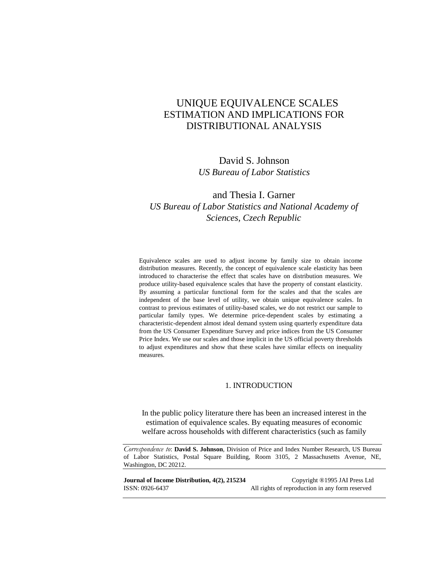## UNIQUE EQUIVALENCE SCALES ESTIMATION AND IMPLICATIONS FOR DISTRIBUTIONAL ANALYSIS

## David S. Johnson *US Bureau of Labor Statistics*

## and Thesia I. Garner *US Bureau of Labor Statistics and National Academy of Sciences, Czech Republic*

Equivalence scales are used to adjust income by family size to obtain income distribution measures. Recently, the concept of equivalence scale elasticity has been introduced to characterise the effect that scales have on distribution measures. We produce utility-based equivalence scales that have the property of constant elasticity. By assuming a particular functional form for the scales and that the scales are independent of the base level of utility, we obtain unique equivalence scales. In contrast to previous estimates of utility-based scales, we do not restrict our sample to particular family types. We determine price-dependent scales by estimating a characteristic-dependent almost ideal demand system using quarterly expenditure data from the US Consumer Expenditure Survey and price indices from the US Consumer Price Index. We use our scales and those implicit in the US official poverty thresholds to adjust expenditures and show that these scales have similar effects on inequality measures.

### 1. INTRODUCTION

In the public policy literature there has been an increased interest in the estimation of equivalence scales. By equating measures of economic welfare across households with different characteristics (such as family

*Correspondence to*: **David S. Johnson**, Division of Price and Index Number Research, US Bureau of Labor Statistics, Postal Square Building, Room 3105, 2 Massachusetts Avenue, NE, Washington, DC 20212.

| Journal of Income Distribution, 4(2), 215234 | Copyright ®1995 JAI Press Ltd                   |
|----------------------------------------------|-------------------------------------------------|
| ISSN: 0926-6437                              | All rights of reproduction in any form reserved |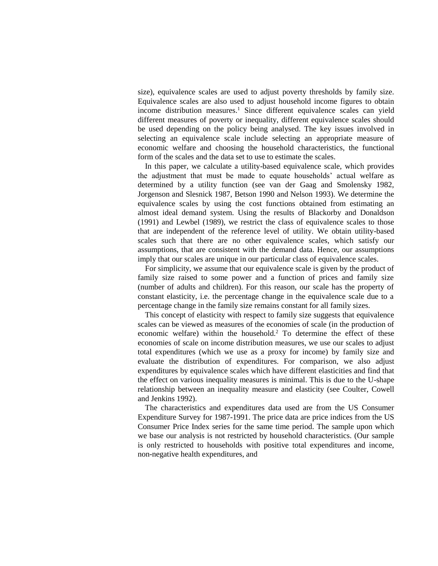size), equivalence scales are used to adjust poverty thresholds by family size. Equivalence scales are also used to adjust household income figures to obtain income distribution measures.<sup>1</sup> Since different equivalence scales can yield different measures of poverty or inequality, different equivalence scales should be used depending on the policy being analysed. The key issues involved in selecting an equivalence scale include selecting an appropriate measure of economic welfare and choosing the household characteristics, the functional form of the scales and the data set to use to estimate the scales.

In this paper, we calculate a utility-based equivalence scale, which provides the adjustment that must be made to equate households' actual welfare as determined by a utility function (see van der Gaag and Smolensky 1982, Jorgenson and Slesnick 1987, Betson 1990 and Nelson 1993). We determine the equivalence scales by using the cost functions obtained from estimating an almost ideal demand system. Using the results of Blackorby and Donaldson (1991) and Lewbel (1989), we restrict the class of equivalence scales to those that are independent of the reference level of utility. We obtain utility-based scales such that there are no other equivalence scales, which satisfy our assumptions, that are consistent with the demand data. Hence, our assumptions imply that our scales are unique in our particular class of equivalence scales.

For simplicity, we assume that our equivalence scale is given by the product of family size raised to some power and a function of prices and family size (number of adults and children). For this reason, our scale has the property of constant elasticity, i.e. the percentage change in the equivalence scale due to a percentage change in the family size remains constant for all family sizes.

This concept of elasticity with respect to family size suggests that equivalence scales can be viewed as measures of the economies of scale (in the production of economic welfare) within the household.<sup>2</sup> To determine the effect of these economies of scale on income distribution measures, we use our scales to adjust total expenditures (which we use as a proxy for income) by family size and evaluate the distribution of expenditures. For comparison, we also adjust expenditures by equivalence scales which have different elasticities and find that the effect on various inequality measures is minimal. This is due to the U-shape relationship between an inequality measure and elasticity (see Coulter, Cowell and Jenkins 1992).

The characteristics and expenditures data used are from the US Consumer Expenditure Survey for 1987-1991. The price data are price indices from the US Consumer Price Index series for the same time period. The sample upon which we base our analysis is not restricted by household characteristics. (Our sample is only restricted to households with positive total expenditures and income, non-negative health expenditures, and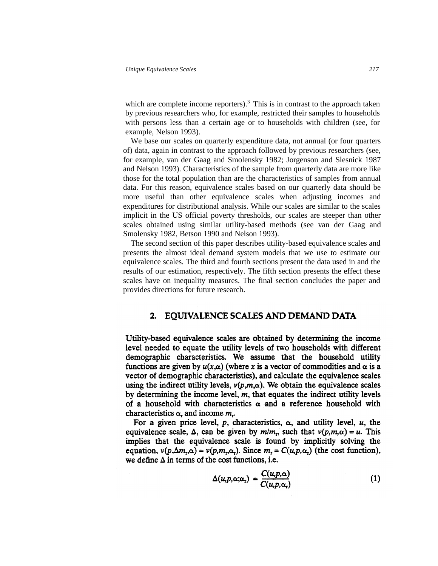which are complete income reporters).<sup>3</sup> This is in contrast to the approach taken by previous researchers who, for example, restricted their samples to households with persons less than a certain age or to households with children (see, for example, Nelson 1993).

We base our scales on quarterly expenditure data, not annual (or four quarters of) data, again in contrast to the approach followed by previous researchers (see, for example, van der Gaag and Smolensky 1982; Jorgenson and Slesnick 1987 and Nelson 1993). Characteristics of the sample from quarterly data are more like those for the total population than are the characteristics of samples from annual data. For this reason, equivalence scales based on our quarterly data should be more useful than other equivalence scales when adjusting incomes and expenditures for distributional analysis. While our scales are similar to the scales implicit in the US official poverty thresholds, our scales are steeper than other scales obtained using similar utility-based methods (see van der Gaag and Smolensky 1982, Betson 1990 and Nelson 1993).

The second section of this paper describes utility-based equivalence scales and presents the almost ideal demand system models that we use to estimate our equivalence scales. The third and fourth sections present the data used in and the results of our estimation, respectively. The fifth section presents the effect these scales have on inequality measures. The final section concludes the paper and provides directions for future research.

### 2. EQUIVALENCE SCALES AND DEMAND DATA

Utility-based equivalence scales are obtained by determining the income level needed to equate the utility levels of two households with different demographic characteristics. We assume that the household utility functions are given by  $u(x, \alpha)$  (where x is a vector of commodities and  $\alpha$  is a vector of demographic characteristics), and calculate the equivalence scales using the indirect utility levels,  $v(p,m,\alpha)$ . We obtain the equivalence scales by determining the income level,  $m$ , that equates the indirect utility levels of a household with characteristics  $\alpha$  and a reference household with characteristics  $\alpha$ , and income  $m$ .

For a given price level, p, characteristics,  $\alpha$ , and utility level, u, the equivalence scale,  $\Delta$ , can be given by  $m/m_r$ , such that  $v(p,m,\alpha) = u$ . This implies that the equivalence scale is found by implicitly solving the equation,  $v(p,\Delta m,\alpha) = v(p,m,\alpha)$ . Since  $m_r = C(u,p,\alpha)$  (the cost function), we define  $\Delta$  in terms of the cost functions, i.e.

$$
\Delta(u, p, \alpha; \alpha_{\tau}) = \frac{C(u, p, \alpha)}{C(u, p, \alpha_{\tau})}
$$
(1)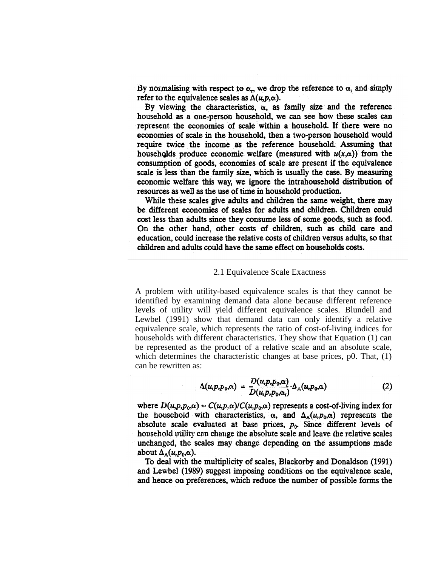By normalising with respect to  $\alpha_n$  we drop the reference to  $\alpha_r$  and simply refer to the equivalence scales as  $\Delta(u, p, \alpha)$ .

By viewing the characteristics,  $\alpha$ , as family size and the reference household as a one-person household, we can see how these scales can represent the economies of scale within a household. If there were no economies of scale in the household, then a two-person household would require twice the income as the reference household. Assuming that households produce economic welfare (measured with  $u(x, \alpha)$ ) from the consumption of goods, economies of scale are present if the equivalence scale is less than the family size, which is usually the case. By measuring economic welfare this way, we ignore the intrahousehold distribution of resources as well as the use of time in household production.

While these scales give adults and children the same weight, there may be different economies of scales for adults and children. Children could cost less than adults since they consume less of some goods, such as food. On the other hand, other costs of children, such as child care and education, could increase the relative costs of children versus adults, so that children and adults could have the same effect on households costs.

### 2.1 Equivalence Scale Exactness

A problem with utility-based equivalence scales is that they cannot be identified by examining demand data alone because different reference levels of utility will yield different equivalence scales. Blundell and Lewbel (1991) show that demand data can only identify a relative equivalence scale, which represents the ratio of cost-of-living indices for households with different characteristics. They show that Equation (1) can be represented as the product of a relative scale and an absolute scale, which determines the characteristic changes at base prices, p0. That, (1) can be rewritten as:

$$
\Delta(u, p, p_0, \alpha) = \frac{D(u, p, p_0, \alpha)}{D(u, p, p_0, \alpha_1)} \cdot \Delta_{\mathbf{A}}(u, p_0, \alpha)
$$
 (2)

where  $D(u, p, p_0, \alpha) = C(u, p, \alpha)/C(u, p_0, \alpha)$  represents a cost-of-living index for the household with characteristics,  $\alpha$ , and  $\Delta_{\mathbf{A}}(\mu, p_0, \alpha)$  represents the absolute scale evaluated at base prices,  $p_0$ . Since different levels of household utility can change the absolute scale and leave the relative scales unchanged, the scales may change depending on the assumptions made about  $\Delta_{\mathbf{A}}(u, p_0, \alpha)$ .

To deal with the multiplicity of scales, Blackorby and Donaldson (1991) and Lewbel (1989) suggest imposing conditions on the equivalence scale, and hence on preferences, which reduce the number of possible forms the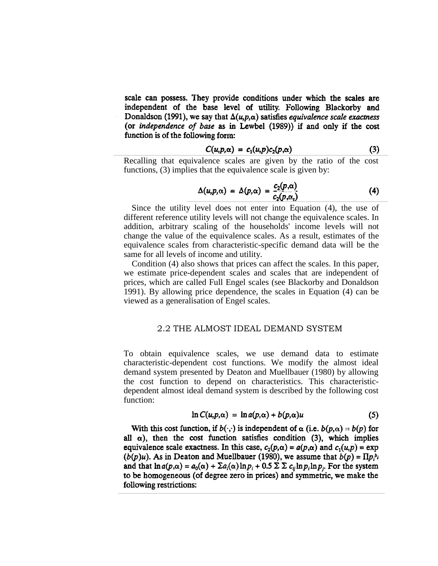scale can possess. They provide conditions under which the scales are independent of the base level of utility. Following Blackorby and Donaldson (1991), we say that  $\Delta(u, p, \alpha)$  satisfies equivalence scale exactness (or independence of base as in Lewbel (1989)) if and only if the cost function is of the following form:

$$
C(u,p,\alpha) = c_1(u,p)c_2(p,\alpha) \qquad (3)
$$

Recalling that equivalence scales are given by the ratio of the cost functions, (3) implies that the equivalence scale is given by:

$$
\Delta(u,p,\alpha) = \Delta(p,\alpha) = \frac{c_2(p,\alpha)}{c_2(p,\alpha_1)}\tag{4}
$$

Since the utility level does not enter into Equation (4), the use of different reference utility levels will not change the equivalence scales. In addition, arbitrary scaling of the households' income levels will not change the value of the equivalence scales. As a result, estimates of the equivalence scales from characteristic-specific demand data will be the same for all levels of income and utility.

Condition (4) also shows that prices can affect the scales. In this paper, we estimate price-dependent scales and scales that are independent of prices, which are called Full Engel scales (see Blackorby and Donaldson 1991). By allowing price dependence, the scales in Equation (4) can be viewed as a generalisation of Engel scales.

### 2.2 THE ALMOST IDEAL DEMAND SYSTEM

To obtain equivalence scales, we use demand data to estimate characteristic-dependent cost functions. We modify the almost ideal demand system presented by Deaton and Muellbauer (1980) by allowing the cost function to depend on characteristics. This characteristicdependent almost ideal demand system is described by the following cost function:

$$
\ln C(u, p, \alpha) = \ln a(p, \alpha) + b(p, \alpha)u \qquad (5)
$$

With this cost function, if  $b(\cdot, \cdot)$  is independent of  $\alpha$  (i.e.  $b(p, \alpha) = b(p)$  for all  $\alpha$ ), then the cost function satisfies condition (3), which implies equivalence scale exactness. In this case,  $c_2(p,\alpha) = a(p,\alpha)$  and  $c_1(u,p) = \exp$  $(b(p)u)$ . As in Deaton and Muellbauer (1980), we assume that  $b(p) = \prod p_i^{b_i}$ and that  $\ln a(p,\alpha) = a_0(\alpha) + \sum a_i(\alpha) \ln p_i + 0.5 \sum \sum c_{ij} \ln p_i \ln p_i$ . For the system to be homogeneous (of degree zero in prices) and symmetric, we make the following restrictions: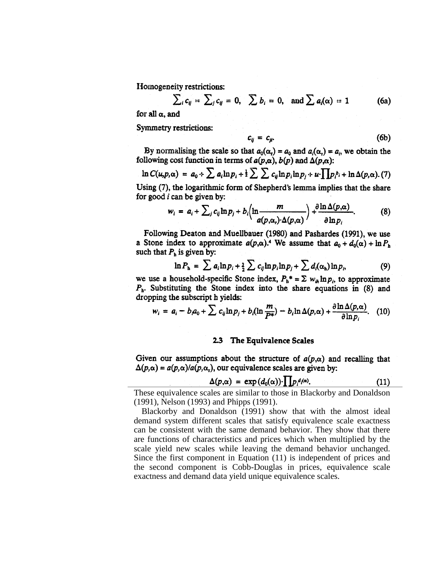Homogeneity restrictions:

$$
\sum_i c_{ij} = \sum_j c_{ij} = 0, \quad \sum b_i = 0, \text{ and } \sum a_i(\alpha) = 1
$$
 (6a)

for all  $\alpha$ , and

Symmetry restrictions:

$$
c_{ij} = c_{ji}.\tag{6b}
$$

By normalising the scale so that  $a_0(\alpha) = a_0$  and  $a_i(\alpha) = a_i$ , we obtain the following cost function in terms of  $a(p,\alpha)$ ,  $b(p)$  and  $\Delta(p,\alpha)$ :

$$
\ln C(u, p, \alpha) = a_0 + \sum a_i \ln p_i + \frac{1}{2} \sum \sum c_{ij} \ln p_i \ln p_j + u \cdot \prod p_i b_i + \ln \Delta(p, \alpha). \tag{7}
$$

Using (7), the logarithmic form of Shepherd's lemma implies that the share for good  $i$  can be given by:

$$
w_i = a_i + \sum_j c_{ij} \ln p_j + b_i \left( \ln \frac{m}{a(p, \alpha_i) \cdot \Delta(p, \alpha)} \right) + \frac{\partial \ln \Delta(p, \alpha)}{\partial \ln p_i}.
$$
 (8)

Following Deaton and Muellbauer (1980) and Pashardes (1991), we use a Stone index to approximate  $a(p,\alpha)$ .<sup>4</sup> We assume that  $a_0 + d_0(\alpha) + \ln P_h$ such that  $P_h$  is given by:

$$
\ln P_{\rm h} = \sum a_i \ln p_i + \frac{1}{2} \sum c_{ij} \ln p_i \ln p_j + \sum d_i(\alpha_{\rm h}) \ln p_i, \tag{9}
$$

we use a household-specific Stone index,  $P_h^* = \sum w_{ih} \ln p_i$ , to approximate  $P<sub>h</sub>$ . Substituting the Stone index into the share equations in (8) and dropping the subscript h yields:

$$
w_i = a_i - b_i a_0 + \sum c_{ij} \ln p_j + b_i (\ln \frac{m}{P^*}) - b_i \ln \Delta(p, \alpha) + \frac{\partial \ln \Delta(p, \alpha)}{\partial \ln p_i}.
$$
 (10)

### 2.3 The Equivalence Scales

Given our assumptions about the structure of  $a(p,\alpha)$  and recalling that  $\Delta(p,\alpha) = a(p,\alpha)/a(p,\alpha_r)$ , our equivalence scales are given by:

$$
\Delta(p,\alpha) = \exp\left(d_0(\alpha)\right) \cdot \prod p_i^{d_i(\alpha)}.
$$
 (11)

These equivalence scales are similar to those in Blackorby and Donaldson (1991), Nelson (1993) and Phipps (1991).

Blackorby and Donaldson (1991) show that with the almost ideal demand system different scales that satisfy equivalence scale exactness can be consistent with the same demand behavior. They show that there are functions of characteristics and prices which when multiplied by the scale yield new scales while leaving the demand behavior unchanged. Since the first component in Equation (11) is independent of prices and the second component is Cobb-Douglas in prices, equivalence scale exactness and demand data yield unique equivalence scales.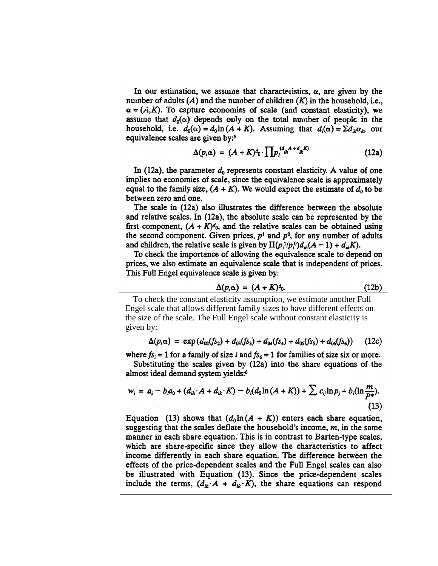In our estimation, we assume that characteristics,  $\alpha$ , are given by the number of adults  $(A)$  and the number of children  $(K)$  in the household, i.e.,  $\alpha = (A,K)$ . To capture economies of scale (and constant elasticity), we assume that  $d_0(\alpha)$  depends only on the total number of people in the household, i.e.  $d_0(\alpha) = d_0 \ln(A + K)$ . Assuming that  $d_i(\alpha) = \sum d_{ik} \alpha_k$ , our equivalence scales are given by:<sup>5</sup>

$$
\Delta(p,\alpha) = (A+K)^{d} \cdot \prod p_i^{(d_{ih}A+d_{ik}K)} \tag{12a}
$$

In (12a), the parameter  $d_0$  represents constant elasticity. A value of one implies no economies of scale, since the equivalence scale is approximately equal to the family size,  $(A + K)$ . We would expect the estimate of  $d_0$  to be between zero and one.

The scale in (12a) also illustrates the difference between the absolute and relative scales. In (12a), the absolute scale can be represented by the first component,  $(A + K)<sup>d</sup>$ , and the relative scales can be obtained using the second component. Given prices,  $p<sup>1</sup>$  and  $p<sup>0</sup>$ , for any number of adults and children, the relative scale is given by  $\Pi(p_i^{-1}/p_i^0)d_{ih}(A-1) + d_{ik}K$ ).

To check the importance of allowing the equivalence scale to depend on prices, we also estimate an equivalence scale that is independent of prices. This Full Engel equivalence scale is given by:

$$
\Delta(p,\alpha) = (A + K)^{d}.
$$
 (12b)

To check the constant elasticity assumption, we estimate another Full Engel scale that allows different family sizes to have different effects on the size of the scale. The Full Engel scale without constant elasticity is given by:

$$
\Delta(p,\alpha) = \exp\left(d_{02}(f_{52}) + d_{03}(f_{53}) + d_{04}(f_{54}) + d_{05}(f_{55}) + d_{06}(f_{56})\right) \tag{12c}
$$

where  $fs_i = 1$  for a family of size i and  $fs_6 = 1$  for families of size six or more.

Substituting the scales given by (12a) into the share equations of the almost ideal demand system yields:<sup>6</sup>

$$
w_i = a_i - b_i a_0 + (d_{ih} \cdot A + d_{ik} \cdot K) - b_i (d_0 \ln(A + K)) + \sum c_{ij} \ln p_j + b_i (\ln \frac{m}{P^*}).
$$
\n(13)

Equation (13) shows that  $(d_0 \ln(A + K))$  enters each share equation, suggesting that the scales deflate the household's income,  $m$ , in the same manner in each share equation. This is in contrast to Barten-type scales, which are share-specific since they allow the characteristics to affect income differently in each share equation. The difference between the effects of the price-dependent scales and the Full Engel scales can also be illustrated with Equation (13). Since the price-dependent scales include the terms,  $(d_{ih} \cdot A + d_{ik} \cdot K)$ , the share equations can respond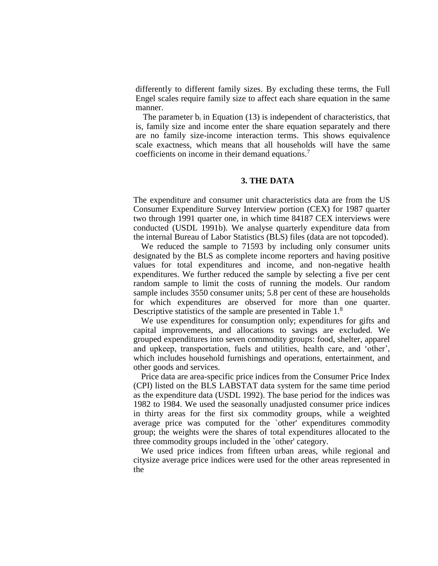differently to different family sizes. By excluding these terms, the Full Engel scales require family size to affect each share equation in the same manner.

The parameter  $b_i$  in Equation (13) is independent of characteristics, that is, family size and income enter the share equation separately and there are no family size-income interaction terms. This shows equivalence scale exactness, which means that all households will have the same coefficients on income in their demand equations.<sup>7</sup>

### **3. THE DATA**

The expenditure and consumer unit characteristics data are from the US Consumer Expenditure Survey Interview portion (CEX) for 1987 quarter two through 1991 quarter one, in which time 84187 CEX interviews were conducted (USDL 1991b). We analyse quarterly expenditure data from the internal Bureau of Labor Statistics (BLS) files (data are not topcoded).

We reduced the sample to 71593 by including only consumer units designated by the BLS as complete income reporters and having positive values for total expenditures and income, and non-negative health expenditures. We further reduced the sample by selecting a five per cent random sample to limit the costs of running the models. Our random sample includes 3550 consumer units; 5.8 per cent of these are households for which expenditures are observed for more than one quarter. Descriptive statistics of the sample are presented in Table 1.<sup>8</sup>

We use expenditures for consumption only; expenditures for gifts and capital improvements, and allocations to savings are excluded. We grouped expenditures into seven commodity groups: food, shelter, apparel and upkeep, transportation, fuels and utilities, health care, and 'other', which includes household furnishings and operations, entertainment, and other goods and services.

Price data are area-specific price indices from the Consumer Price Index (CPI) listed on the BLS LABSTAT data system for the same time period as the expenditure data (USDL 1992). The base period for the indices was 1982 to 1984. We used the seasonally unadjusted consumer price indices in thirty areas for the first six commodity groups, while a weighted average price was computed for the `other' expenditures commodity group; the weights were the shares of total expenditures allocated to the three commodity groups included in the `other' category.

We used price indices from fifteen urban areas, while regional and citysize average price indices were used for the other areas represented in the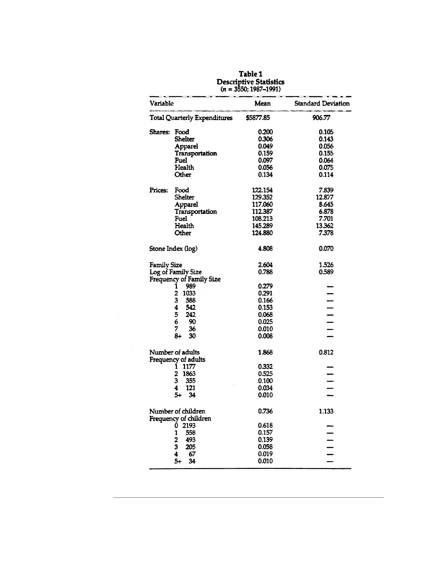|                    |                                         | (11 = 3330; 1987–1991) |                           |
|--------------------|-----------------------------------------|------------------------|---------------------------|
| Variable           |                                         | Mean                   | <b>Standard Deviation</b> |
|                    | <b>Total Quarterly Expenditures</b>     | \$5877.85              | 906.77                    |
| Shares: Food       |                                         | 0.200                  | 0.105                     |
|                    | Shelter                                 | 0.306                  | 0.143                     |
|                    | Apparel                                 | 0.049                  | 0.056                     |
|                    | Transportation                          | 0.159                  | 0.155                     |
|                    | Fuel                                    | 0.097                  | 0.064                     |
|                    | Health                                  | 0.056                  | 0.075                     |
|                    | Other                                   | 0.134                  | 0.114                     |
| <b>Prices:</b>     | Food                                    | 122.154                | 7.839                     |
|                    | <b>Shelter</b>                          | 129.352                | 12.877                    |
|                    | Apparel                                 | 117.060                | 8.645                     |
|                    | Transportation                          | 112.387                | 6.878                     |
|                    | Fuel                                    | 108.213                | 7.701                     |
|                    | Health                                  | 145.289                | 13.362                    |
|                    | Other                                   | 124.880                | 7.378                     |
|                    | Stone Index (log)                       | 4.808                  | 0.070                     |
| <b>Family Size</b> |                                         | 2.604                  | 1.526                     |
|                    | Log of Family Size                      | 0.788                  | 0.589                     |
|                    | Frequency of Family Size                |                        |                           |
|                    | 989<br>1                                | 0.279                  |                           |
|                    | 2<br>1033                               | 0.291                  |                           |
|                    | 3<br>588                                | 0.166                  |                           |
|                    | 4<br>542                                | 0.153                  |                           |
|                    | 5<br>242                                | 0.068                  |                           |
|                    | 6<br>90                                 | 0.025                  | ---                       |
|                    | 7<br>36                                 | 0.010                  |                           |
|                    | 8+<br>30                                | 0.008                  |                           |
|                    | Number of adults<br>Frequency of adults | 1.868                  | 0.812                     |
|                    | 1177<br>ı                               | 0.332                  |                           |
|                    | 2<br>1863                               | 0.525                  |                           |
|                    | 355<br>3                                | 0.100                  |                           |
|                    | 4<br>121                                | 0.034                  | -                         |
|                    | $5+$<br>34                              | 0.010                  |                           |
|                    | Number of children                      | 0.736                  | 1.133                     |
|                    | Frequency of children                   |                        |                           |
|                    | 2193<br>0                               | 0.618                  |                           |
|                    | 558<br>1                                | 0.157                  |                           |
|                    | 2<br>493                                | 0.139                  |                           |
|                    | 3<br>205                                | 0.058                  |                           |
|                    | 4<br>67                                 | 0.019                  |                           |
|                    | $5+$<br>34                              | 0.010                  |                           |
|                    |                                         |                        |                           |

Table 1<br>Descriptive Statistics<br> $\frac{1}{2}$  = 2550-1987-1991)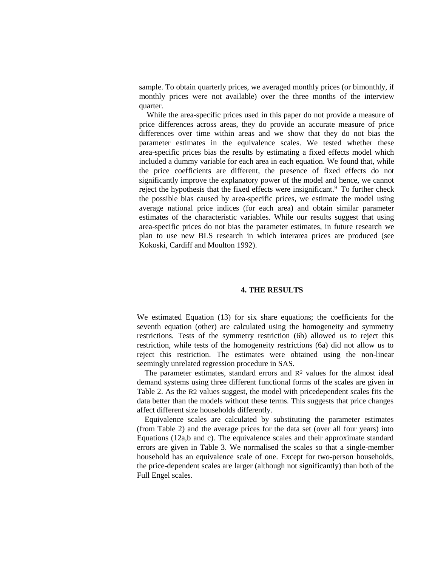sample. To obtain quarterly prices, we averaged monthly prices (or bimonthly, if monthly prices were not available) over the three months of the interview quarter.

While the area-specific prices used in this paper do not provide a measure of price differences across areas, they do provide an accurate measure of price differences over time within areas and we show that they do not bias the parameter estimates in the equivalence scales. We tested whether these area-specific prices bias the results by estimating a fixed effects model which included a dummy variable for each area in each equation. We found that, while the price coefficients are different, the presence of fixed effects do not significantly improve the explanatory power of the model and hence, we cannot reject the hypothesis that the fixed effects were insignificant.<sup>9</sup> To further check the possible bias caused by area-specific prices, we estimate the model using average national price indices (for each area) and obtain similar parameter estimates of the characteristic variables. While our results suggest that using area-specific prices do not bias the parameter estimates, in future research we plan to use new BLS research in which interarea prices are produced (see Kokoski, Cardiff and Moulton 1992).

### **4. THE RESULTS**

We estimated Equation (13) for six share equations; the coefficients for the seventh equation (other) are calculated using the homogeneity and symmetry restrictions. Tests of the symmetry restriction (6b) allowed us to reject this restriction, while tests of the homogeneity restrictions (6a) did not allow us to reject this restriction. The estimates were obtained using the non-linear seemingly unrelated regression procedure in SAS.

The parameter estimates, standard errors and  $R<sup>2</sup>$  values for the almost ideal demand systems using three different functional forms of the scales are given in Table 2. As the R2 values suggest, the model with pricedependent scales fits the data better than the models without these terms. This suggests that price changes affect different size households differently.

Equivalence scales are calculated by substituting the parameter estimates (from Table 2) and the average prices for the data set (over all four years) into Equations (12a,b and c). The equivalence scales and their approximate standard errors are given in Table 3. We normalised the scales so that a single-member household has an equivalence scale of one. Except for two-person households, the price-dependent scales are larger (although not significantly) than both of the Full Engel scales.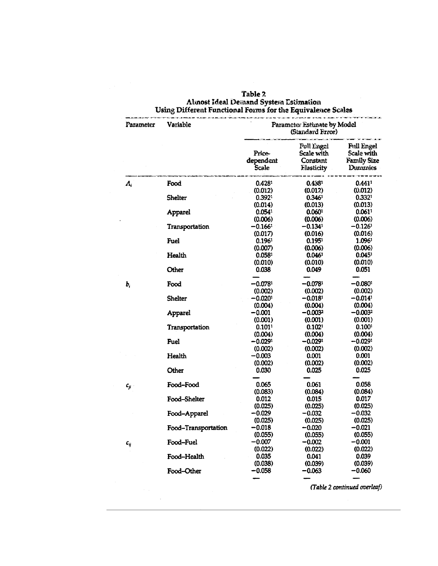| Parameter                  | Variable                  | Parameter Estimate by Model<br>(Standard Frror) |                                                    |                                                                  |
|----------------------------|---------------------------|-------------------------------------------------|----------------------------------------------------|------------------------------------------------------------------|
|                            |                           | Price-<br>dependent<br>Scale                    | Full Engel<br>Scale with<br>Constant<br>Elasticity | <b>Full Engel</b><br>Scale with<br><b>Family Size</b><br>Dummics |
| A,                         | Food                      | 0.4281                                          | 0.4381                                             | 0.441'                                                           |
|                            | <b>Shelter</b>            | (0.012)<br>0.392 <sup>1</sup><br>(0.014)        | (0.012)<br>0.3461<br>(0.013)                       | (0.012)<br>0.332 <sup>1</sup><br>(0.013)                         |
|                            | Apparel                   | 0.054 <sup>1</sup><br>(0.006)                   | 0.060 <sup>1</sup><br>(0.006)                      | $0.061$ <sup>1</sup><br>(0.006)                                  |
|                            | Transportation            | $-0.1661$<br>(0.017)                            | $-0.134$ <sup>1</sup><br>(0.016)                   | $-0.126$<br>(0.016)                                              |
|                            | Fuel                      | 0.1961<br>(0.007)                               | 0.1951<br>(0.006)                                  | 1.0961<br>(0.006)                                                |
|                            | Health<br>Other           | 0.058 <sup>1</sup><br>(0.010)<br>0.038          | 0.046 <sup>1</sup><br>(0.010)<br>0.049             | 0.0451<br>(0.010)<br>0.051                                       |
| b,                         | Food                      | $-0.078$<br>(0.002)                             | $-0.078$<br>(0.002)                                | -0.0801<br>(0.002)                                               |
|                            | <b>Shelter</b>            | $-0.020$ '<br>(0.004)                           | -0.0181<br>(0.004)                                 | $-0.014$ <sup>1</sup><br>(0.004)                                 |
|                            | Apparel                   | $-0.001$<br>(0.001)                             | -0.0032<br>(0.001)                                 | -0.0032<br>(0.001)                                               |
|                            | Transportation            | 0.1011<br>(0.004)                               | 0.102 <sup>1</sup><br>(0.004)                      | 0.100 <sup>1</sup><br>(0.004)                                    |
|                            | Fuel                      | $-0.0291$<br>(0.002)                            | -0.0291<br>(0.002)                                 | -0.0291<br>(0.002)                                               |
|                            | Health                    | -0.003<br>(0.002)                               | 0.001<br>(0.002)                                   | 0.001<br>(0.002)                                                 |
|                            | Other                     | 0.030                                           | 0.025                                              | 0.025                                                            |
| $c_{ji}$<br>$\pmb{c}_{ij}$ | Food-Food<br>Food-Shelter | 0.065<br>(0.083)<br>0.012                       | 0.061<br>(0.084)<br>0.015                          | 0.058<br>(0.084)<br>0.017                                        |
|                            | Food-Apparel              | (0.025)<br>-0.029                               | (0.025)<br>-0.032                                  | (0.025)<br>-0.032                                                |
|                            | Food-Transportation       | (0.025)<br>$-0.018$                             | (0.025)<br>$-0.020$                                | (0.025)<br>$-0.021$                                              |
|                            | Food-Fuel                 | (0.055)<br>$-0.007$                             | (0.055)<br>-0.002                                  | (0.055)<br>-0.001                                                |
|                            | Food-Health               | (0.022)<br>0.035                                | (0.022)<br>0.041                                   | (0.022)<br>0.039                                                 |
|                            | Food-Other                | (0.038)<br>$-0.058$                             | (0.039)<br>-0.063                                  | (0.039)<br>-0.060                                                |

 $\bar{z}$ 

# Table 2<br>Almost Ideal Demand System Estimation<br>Using Different Functional Forms for the Equivalence Scales

(Table 2 continued overleaf)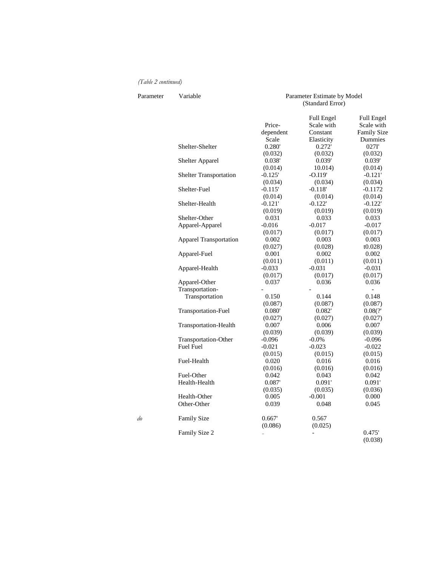### *(Table 2 continued)*

| Parameter | Variable                      | Parameter Estimate by Model<br>(Standard Error) |                                             |                                                |
|-----------|-------------------------------|-------------------------------------------------|---------------------------------------------|------------------------------------------------|
|           |                               | Price-<br>dependent                             | <b>Full Engel</b><br>Scale with<br>Constant | Full Engel<br>Scale with<br><b>Family Size</b> |
|           |                               | Scale                                           | Elasticity                                  | Dummies                                        |
|           | Shelter-Shelter               | 0.280'                                          | 0.272'                                      | 027I'                                          |
|           |                               | (0.032)                                         | (0.032)                                     | (0.032)                                        |
|           | Shelter Apparel               | 0.038'                                          | 0.039'                                      | 0.039'                                         |
|           |                               | (0.014)                                         | 10.014)                                     | (0.014)                                        |
|           | <b>Shelter Transportation</b> | $-0.125'$                                       | $-0.119'$                                   | $-0.121'$                                      |
|           |                               | (0.034)                                         | (0.034)                                     | (0.034)                                        |
|           | Shelter-Fuel                  | $-0.115'$                                       | $-0.118'$                                   | $-0.1172$                                      |
|           |                               | (0.014)                                         | (0.014)                                     | (0.014)                                        |
|           | Shelter-Health                | $-0.121'$                                       | $-0.122'$                                   | $-0.122'$                                      |
|           |                               | (0.019)                                         | (0.019)                                     | (0.019)                                        |
|           | Shelter-Other                 | 0.031                                           | 0.033                                       | 0.033                                          |
|           | Apparel-Apparel               | $-0.016$                                        | $-0.017$                                    | $-0.017$                                       |
|           |                               | (0.017)                                         | (0.017)                                     | (0.017)                                        |
|           | <b>Apparel Transportation</b> | 0.002                                           | 0.003                                       | 0.003                                          |
|           |                               | (0.027)                                         | (0.028)                                     | t0.028                                         |
|           | Apparel-Fuel                  | 0.001                                           | 0.002                                       | 0.002                                          |
|           |                               | (0.011)                                         | (0.011)                                     | (0.011)                                        |
|           | Apparel-Health                | $-0.033$                                        | $-0.031$                                    | $-0.031$                                       |
|           |                               | (0.017)                                         | (0.017)                                     | (0.017)                                        |
|           | Apparel-Other                 | 0.037                                           | 0.036                                       | 0.036                                          |
|           | Transportation-               |                                                 |                                             | $\blacksquare$                                 |
|           | Transportation                | 0.150                                           | 0.144                                       | 0.148                                          |
|           |                               | (0.087)                                         | (0.087)                                     | (0.087)                                        |
|           | Transportation-Fuel           | 0.080'                                          | 0.082                                       | 0.08(?')                                       |
|           |                               | (0.027)                                         | (0.027)                                     | (0.027)                                        |
|           | Transportation-Health         | 0.007                                           | 0.006                                       | 0.007                                          |
|           |                               | (0.039)                                         | (0.039)                                     | (0.039)                                        |
|           | Transportation-Other          | $-0.096$                                        | $-0.0\%$                                    | $-0.096$                                       |
|           | <b>Fuel Fuel</b>              | $-0.021$                                        | $-0.023$                                    | $-0.022$                                       |
|           |                               | (0.015)                                         | (0.015)                                     | (0.015)                                        |
|           | Fuel-Health                   | 0.020                                           | 0.016                                       | 0.016                                          |
|           |                               | (0.016)                                         | (0.016)                                     | (0.016)                                        |
|           | Fuel-Other                    | 0.042                                           | 0.043                                       | 0.042                                          |
|           | Health-Health                 | 0.087'                                          | 0.091'                                      | 0.091'                                         |
|           |                               | (0.035)                                         | (0.035)                                     | (0.036)                                        |
|           | Health-Other                  | 0.005                                           | $-0.001$                                    | 0.000                                          |
|           | Other-Other                   | 0.039                                           | 0.048                                       | 0.045                                          |
| do        | Family Size                   | 0.667'                                          | 0.567                                       |                                                |
|           |                               | (0.086)                                         | (0.025)                                     |                                                |
|           | Family Size 2                 |                                                 |                                             | 0.475'<br>(0.038)                              |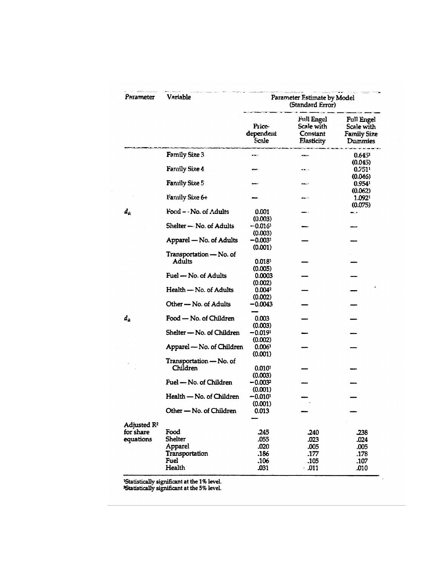| Parameter                            | Variable                            | Parameter Estimate by Model<br>(Standard Error) |                                                           |                                                                         |
|--------------------------------------|-------------------------------------|-------------------------------------------------|-----------------------------------------------------------|-------------------------------------------------------------------------|
|                                      |                                     | Price-<br>dependent<br>Scale                    | <b>Full Engel</b><br>Scale with<br>Constant<br>Elasticity | <b>Full Engel</b><br><b>Scale with</b><br><b>Family Size</b><br>Dummies |
|                                      | <b>Family Size 3</b>                | œ                                               |                                                           | 0.645 <sup>1</sup>                                                      |
|                                      | Family Size 4                       |                                                 | <b>CHOO</b>                                               | (0.045)<br>$0.751$ <sup>1</sup>                                         |
|                                      | <b>Family Size 5</b>                |                                                 |                                                           | (0.046)<br>0.954 <sup>1</sup>                                           |
|                                      | Family Size 6+                      |                                                 |                                                           | (0.062)<br>1.0921                                                       |
| $d_{\hat{m}}$                        | Food - No. of Adults                | 0.001<br>(0.003)                                |                                                           | (0.075)                                                                 |
|                                      | Shelter - No. of Adults             | -0.0161<br>(0.003)                              |                                                           |                                                                         |
|                                      | Apparel - No. of Adults             | $-0.0031$<br>(0.001)                            |                                                           |                                                                         |
|                                      | Transportation - No. of<br>Adults   | $0.018$ <sup>1</sup>                            |                                                           |                                                                         |
|                                      | Fuel - No. of Adults                | (0.005)<br>0.0003                               |                                                           |                                                                         |
|                                      | Health - No. of Adults              | (0.002)<br>0.004 <sup>2</sup><br>(0.002)        |                                                           |                                                                         |
|                                      | Other - No. of Adults               | -0.0043                                         |                                                           |                                                                         |
| $d_x$                                | Food - No. of Children              | 0.003<br>(0.003)                                |                                                           |                                                                         |
|                                      | Shelter - No. of Children           | $-0.0191$<br>(0.002)                            |                                                           |                                                                         |
|                                      | Apparel - No. of Children           | 0.0061<br>(0.001)                               |                                                           |                                                                         |
|                                      | Transportation - No. of<br>Children | 0.010 <sup>1</sup>                              |                                                           |                                                                         |
|                                      | Fuel - No. of Children              | (0.003)<br>$-0.0032$<br>(0.001)                 |                                                           |                                                                         |
|                                      | Health - No. of Children            | $-0.010^{1}$<br>(0.001)                         |                                                           |                                                                         |
|                                      | Other — No. of Children             | 0.013                                           |                                                           |                                                                         |
| Adjusted R <sup>2</sup><br>for share | Food                                | .245                                            | .240                                                      | .238                                                                    |
| equations                            | <b>Shelter</b>                      | .055                                            | .023                                                      | .024                                                                    |
|                                      | Apparel                             | .020                                            | .005                                                      | .005                                                                    |
|                                      | Transportation                      | .186                                            | .177                                                      | .178                                                                    |
|                                      | <b>Fuel</b>                         | .106                                            | .105                                                      | .107                                                                    |
|                                      | Health                              | .031                                            | .011                                                      | .010                                                                    |

**Example 1% is used in the 1% is vectorally significant at the 5% level.**<br>Statistically significant at the 5% level.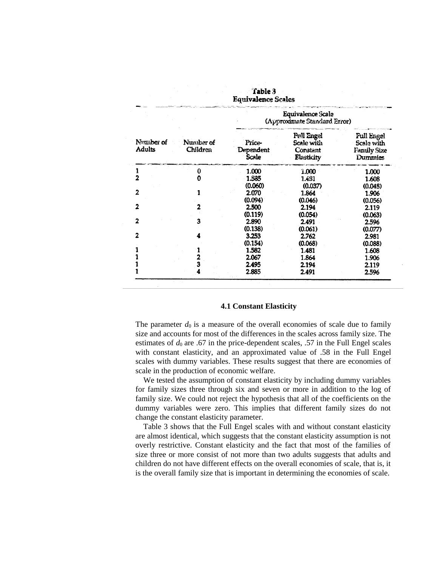| Table 3<br><b>Equivalence Scales</b> |                       |                                            |                                                           |                                                                  |
|--------------------------------------|-----------------------|--------------------------------------------|-----------------------------------------------------------|------------------------------------------------------------------|
|                                      |                       |                                            | Equivalence Scale<br>(Approximate Standard Error)         |                                                                  |
| Number of<br>Adults                  | Number of<br>Children | <b>Price-</b><br>Dependent<br><b>Scale</b> | <b>Full Engel</b><br>Scale with<br>Constant<br>Elasticity | <b>Full Engel</b><br>Scale with<br><b>Family Size</b><br>Dummies |
| ı                                    | 0                     | 1.000                                      | 1.000                                                     | 1.000                                                            |
| $\overline{2}$                       | O                     | 1.535                                      | 1.431                                                     | 1.608                                                            |
|                                      |                       | (0.060)                                    | (0.037)                                                   | (0.048)                                                          |
| 2                                    |                       | 2.070                                      | 1.864                                                     | 1.906                                                            |
|                                      |                       | (0.094)                                    | (0.046)                                                   | (0.056)                                                          |
| 2                                    |                       | 2.500                                      | 2.194                                                     | 2.119                                                            |
|                                      |                       | (0.119)                                    | (0.054)                                                   | (0.063)                                                          |
| $\overline{2}$                       | 3                     | 2.890                                      | 2.491                                                     | 2.596                                                            |
|                                      |                       | (0.138)                                    | (0.061)                                                   | (0.077)                                                          |
|                                      |                       | 3.253                                      | 2.762                                                     | 2.981                                                            |
|                                      |                       | (0.154)                                    | (0.068)                                                   | (0.088)                                                          |
|                                      |                       | 1.582                                      | 1.481                                                     | 1.608                                                            |
|                                      | 2<br>3                | 2.067                                      | 1.864                                                     | 1.906                                                            |
|                                      |                       | 2.495                                      | 2.194                                                     | 2.119                                                            |
|                                      |                       | 2.885                                      | 2.491                                                     | 2.596                                                            |

### **4.1 Constant Elasticity**

The parameter  $d_0$  is a measure of the overall economies of scale due to family size and accounts for most of the differences in the scales across family size. The estimates of  $d_0$  are .67 in the price-dependent scales, .57 in the Full Engel scales with constant elasticity, and an approximated value of .58 in the Full Engel scales with dummy variables. These results suggest that there are economies of scale in the production of economic welfare.

We tested the assumption of constant elasticity by including dummy variables for family sizes three through six and seven or more in addition to the log of family size. We could not reject the hypothesis that all of the coefficients on the dummy variables were zero. This implies that different family sizes do not change the constant elasticity parameter.

Table 3 shows that the Full Engel scales with and without constant elasticity are almost identical, which suggests that the constant elasticity assumption is not overly restrictive. Constant elasticity and the fact that most of the families of size three or more consist of not more than two adults suggests that adults and children do not have different effects on the overall economies of scale, that is, it is the overall family size that is important in determining the economies of scale.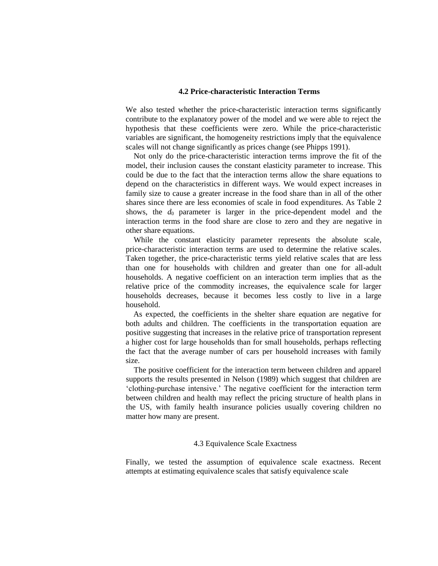### **4.2 Price-characteristic Interaction Terms**

We also tested whether the price-characteristic interaction terms significantly contribute to the explanatory power of the model and we were able to reject the hypothesis that these coefficients were zero. While the price-characteristic variables are significant, the homogeneity restrictions imply that the equivalence scales will not change significantly as prices change (see Phipps 1991).

Not only do the price-characteristic interaction terms improve the fit of the model, their inclusion causes the constant elasticity parameter to increase. This could be due to the fact that the interaction terms allow the share equations to depend on the characteristics in different ways. We would expect increases in family size to cause a greater increase in the food share than in all of the other shares since there are less economies of scale in food expenditures. As Table 2 shows, the  $d_0$  parameter is larger in the price-dependent model and the interaction terms in the food share are close to zero and they are negative in other share equations.

While the constant elasticity parameter represents the absolute scale, price-characteristic interaction terms are used to determine the relative scales. Taken together, the price-characteristic terms yield relative scales that are less than one for households with children and greater than one for all-adult households. A negative coefficient on an interaction term implies that as the relative price of the commodity increases, the equivalence scale for larger households decreases, because it becomes less costly to live in a large household.

As expected, the coefficients in the shelter share equation are negative for both adults and children. The coefficients in the transportation equation are positive suggesting that increases in the relative price of transportation represent a higher cost for large households than for small households, perhaps reflecting the fact that the average number of cars per household increases with family size.

The positive coefficient for the interaction term between children and apparel supports the results presented in Nelson (1989) which suggest that children are 'clothing-purchase intensive.' The negative coefficient for the interaction term between children and health may reflect the pricing structure of health plans in the US, with family health insurance policies usually covering children no matter how many are present.

### 4.3 Equivalence Scale Exactness

Finally, we tested the assumption of equivalence scale exactness. Recent attempts at estimating equivalence scales that satisfy equivalence scale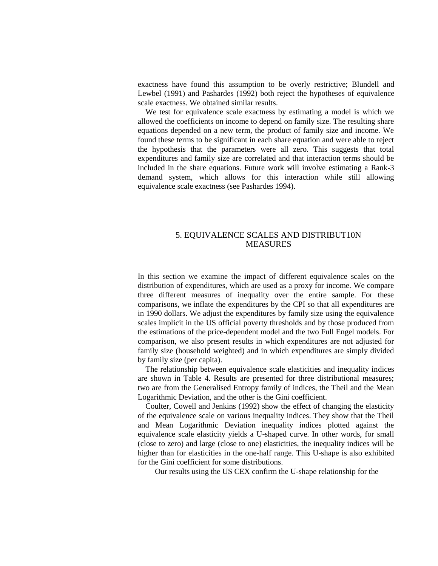exactness have found this assumption to be overly restrictive; Blundell and Lewbel (1991) and Pashardes (1992) both reject the hypotheses of equivalence scale exactness. We obtained similar results.

We test for equivalence scale exactness by estimating a model is which we allowed the coefficients on income to depend on family size. The resulting share equations depended on a new term, the product of family size and income. We found these terms to be significant in each share equation and were able to reject the hypothesis that the parameters were all zero. This suggests that total expenditures and family size are correlated and that interaction terms should be included in the share equations. Future work will involve estimating a Rank-3 demand system, which allows for this interaction while still allowing equivalence scale exactness (see Pashardes 1994).

### 5. EQUIVALENCE SCALES AND DISTRIBUT10N MEASURES

In this section we examine the impact of different equivalence scales on the distribution of expenditures, which are used as a proxy for income. We compare three different measures of inequality over the entire sample. For these comparisons, we inflate the expenditures by the CPI so that all expenditures are in 1990 dollars. We adjust the expenditures by family size using the equivalence scales implicit in the US official poverty thresholds and by those produced from the estimations of the price-dependent model and the two Full Engel models. For comparison, we also present results in which expenditures are not adjusted for family size (household weighted) and in which expenditures are simply divided by family size (per capita).

The relationship between equivalence scale elasticities and inequality indices are shown in Table 4. Results are presented for three distributional measures; two are from the Generalised Entropy family of indices, the Theil and the Mean Logarithmic Deviation, and the other is the Gini coefficient.

Coulter, Cowell and Jenkins (1992) show the effect of changing the elasticity of the equivalence scale on various inequality indices. They show that the Theil and Mean Logarithmic Deviation inequality indices plotted against the equivalence scale elasticity yields a U-shaped curve. In other words, for small (close to zero) and large (close to one) elasticities, the inequality indices will be higher than for elasticities in the one-half range. This U-shape is also exhibited for the Gini coefficient for some distributions.

Our results using the US CEX confirm the U-shape relationship for the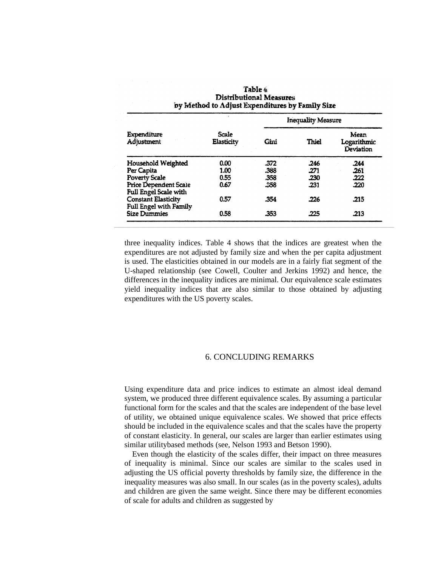|                                                       |                     |      | <b>Inequality Measure</b> |                                  |
|-------------------------------------------------------|---------------------|------|---------------------------|----------------------------------|
| <b>Expenditure</b><br>Adjustment                      | Scale<br>Elasticity | Gini | Thiel                     | Mean<br>Logarithmic<br>Deviation |
| Household Weighted                                    | 0.00                | .372 | .246                      | .244                             |
| Per Capita                                            | 1.00                | .388 | .271                      | .261                             |
| <b>Poverty Scale</b>                                  | 0.55                | .358 | .230                      | .222                             |
| <b>Price Dependent Scale</b><br>Full Engel Scale with | 0.67                | .358 | .231                      | .220                             |
| <b>Constant Elasticity</b><br>Full Engel with Family  | 0.57                | .354 | .226                      | .215                             |
| <b>Size Dummies</b>                                   | 0.58                | .353 | .225                      | .213                             |

| Table 4                                         |
|-------------------------------------------------|
| Distributional Measures                         |
| by Method to Adjust Expenditures by Family Size |

three inequality indices. Table 4 shows that the indices are greatest when the expenditures are not adjusted by family size and when the per capita adjustment is used. The elasticities obtained in our models are in a fairly fiat segment of the U-shaped relationship (see Cowell, Coulter and Jerkins 1992) and hence, the differences in the inequality indices are minimal. Our equivalence scale estimates yield inequality indices that are also similar to those obtained by adjusting expenditures with the US poverty scales.

### 6. CONCLUDING REMARKS

Using expenditure data and price indices to estimate an almost ideal demand system, we produced three different equivalence scales. By assuming a particular functional form for the scales and that the scales are independent of the base level of utility, we obtained unique equivalence scales. We showed that price effects should be included in the equivalence scales and that the scales have the property of constant elasticity. In general, our scales are larger than earlier estimates using similar utilitybased methods (see, Nelson 1993 and Betson 1990).

Even though the elasticity of the scales differ, their impact on three measures of inequality is minimal. Since our scales are similar to the scales used in adjusting the US official poverty thresholds by family size, the difference in the inequality measures was also small. In our scales (as in the poverty scales), adults and children are given the same weight. Since there may be different economies of scale for adults and children as suggested by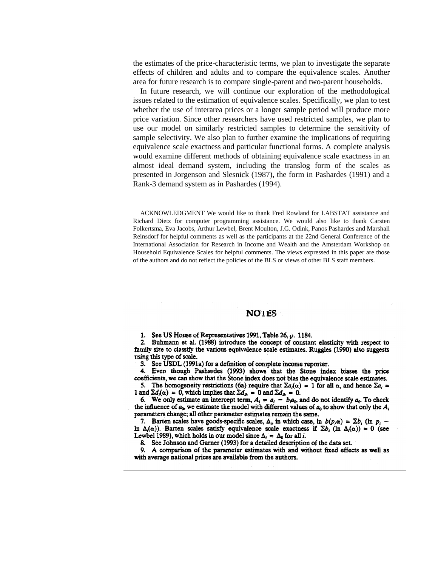the estimates of the price-characteristic terms, we plan to investigate the separate effects of children and adults and to compare the equivalence scales. Another area for future research is to compare single-parent and two-parent households.

In future research, we will continue our exploration of the methodological issues related to the estimation of equivalence scales. Specifically, we plan to test whether the use of interarea prices or a longer sample period will produce more price variation. Since other researchers have used restricted samples, we plan to use our model on similarly restricted samples to determine the sensitivity of sample selectivity. We also plan to further examine the implications of requiring equivalence scale exactness and particular functional forms. A complete analysis would examine different methods of obtaining equivalence scale exactness in an almost ideal demand system, including the translog form of the scales as presented in Jorgenson and Slesnick (1987), the form in Pashardes (1991) and a Rank-3 demand system as in Pashardes (1994).

ACKNOWLEDGMENT We would like to thank Fred Rowland for LABSTAT assistance and Richard Dietz for computer programming assistance. We would also like to thank Carsten Folkertsma, Eva Jacobs, Arthur Lewbel, Brent Moulton, J.G. Odink, Panos Pashardes and Marshall Reinsdorf for helpful comments as well as the participants at the 22nd General Conference of the International Association for Research in Income and Wealth and the Amsterdam Workshop on Household Equivalence Scales for helpful comments. The views expressed in this paper are those of the authors and do not reflect the policies of the BLS or views of other BLS staff members.

### **NOTES**

1. See US House of Representatives 1991, Table 26, p. 1184.

2. Buhmann et al. (1988) introduce the concept of constant elasticity with respect to family size to classify the various equivalence scale estimates. Ruggles (1990) also suggests using this type of scale.

3. See USDL (1991a) for a definition of complete income reporter.

4. Even though Pashardes (1993) shows that the Stone index biases the price coefficients, we can show that the Stone index does not bias the equivalence scale estimates.

5. The homogeneity restrictions (6a) require that  $\Sigma a_i(\alpha) = 1$  for all  $\alpha$ , and hence  $\Sigma a_i =$ 1 and  $\Sigma d_i(\alpha) = 0$ , which implies that  $\Sigma d_{ih} = 0$  and  $\Sigma d_{ik} = 0$ .

6. We only estimate an intercept term,  $A_i = a_i - b_i a_0$ , and do not identify  $a_0$ . To check the influence of  $a_0$ , we estimate the model with different values of  $a_0$  to show that only the  $A_i$ parameters change; all other parameter estimates remain the same.

7. Barten scales have goods-specific scales,  $\Delta_i$ , in which case, ln  $b(p,\alpha) = \sum b_i$  (ln  $p_i$  – In  $\Delta_i(\alpha)$ ). Barten scales satisfy equivalence scale exactness if  $\Sigma b_i$  (ln  $\Delta_i(\alpha)$ ) = 0 (see Lewbel 1989), which holds in our model since  $\Delta_i = \Delta_0$  for all *i*.

8. See Johnson and Garner (1993) for a detailed description of the data set.

9. A comparison of the parameter estimates with and without fixed effects as well as with average national prices are available from the authors.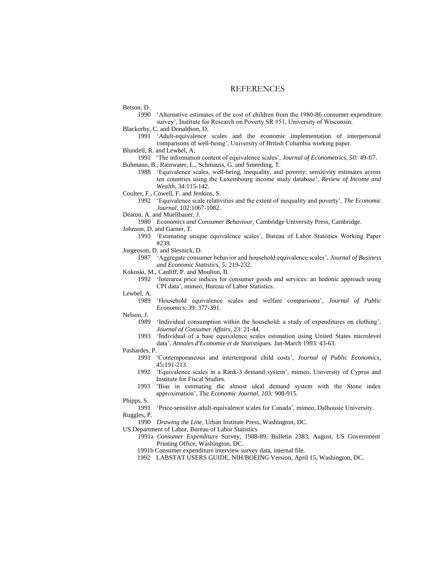### **REFERENCES**

Betson, D.

1990 'Alternative estimates of the cost of children from the 1980-86 consumer expenditure survey', Institute for Research on Poverty SR #51, University of Wisconsin.

Blackorby, C. and Donaldson, D.

- 1991 'Adult-equivalence scales and the economic implementation of interpersonal comparisons of well-being', University of British Columbia working paper.
- Blundell, R. and Lewbel, A.
- 1991 'The information content of equivalence scales', *Journal of Econometrics, 50:* 49-fi7. Buhmann, B., Rainwater, L., Schmauss, G. and Smeeding, T.
	- 1988 'Equivalence scales, well-being, inequality, and poverty: sensitivity estimates across ten countries using the Luxembourg income study database', *Review of Income and Wealth,* 34:115-142.
- Coulter, F., Cowell, F. and Jenkins, S.
	- 1992 'Equivalence scale relativities and the extent of inequality and poverty', *The Economic Journal,* 102:1067-1082.
- Deaton, A. and Muellbauer, J.
- 1980 *Economics and Consumer Behaviour,* Cambridge University Press, Cambridge.

Johnson, D. and Garner, T.

- 1993 'Estimating unique equivalence scales', Bureau of Labor Statistics Working Paper #239.
- Jorgenson, D. and Slesnick, D.
	- 1987 'Aggregate consumer behavior and household equivalence scales', *Journal of Business and Economic Statistics, 5:* 219-232.
- Kokoski, M., Cardiff, P. and Moulton, B.
	- 1992 'Interarea price indices for consumer goods and services: an hedonic approach using CPI data', mimeo, Bureau of Labor Statistics.
- Lewbel, A.
	- 1989 'Household equivalence scales and welfare comparisons', *Journal of Public Economics,* 39: 377-391.

#### Nelson, J.

- 1989 'Individual consumption within the household: a study of expenditures on clothing', *Journal of Consumer Affairs,* 23: 21-44.
- 1993 'Individual of a base equivalence scales estimation using United States microlevel data', *Annales d'Economie et de Statistiques.* Jan-March 1993: 43-63.
- Pashardes, P.
	- 1991 'Contemporaneous and intertemporal child costs', *Journal of Public Economics,*  45:191-213.
	- 1992 'Equivalence scales in a Rank-3 demand system', mimeo, University of Cyprus and Institute for Fiscal Studies.
	- 1993 'Bias in estimating the almost ideal demand system with the Stone index approximation', The *Economic Journal, 103:* 908-915.

Phipps, S.

1991 'Price-sensitive adult-equivalence scales for Canada', mimeo, Dalhousie University. Ruggles, P.

1990 *Drawing the Line,* Urban Institute Press, Washington, DC.

- US Department of Labor, Bureau of Labor Statistics
	- 1991a *Consumer Expenditure* Survey, 1988-89, Bulletin 2383, August, US Government Printing Office, Washington, DC.
	- 1991b Consumer expenditure interview survey data, internal file.
	- 1992 LABSTAT USERS GUIDE, NIH/BOEING Version, April 15, Washington, DC.